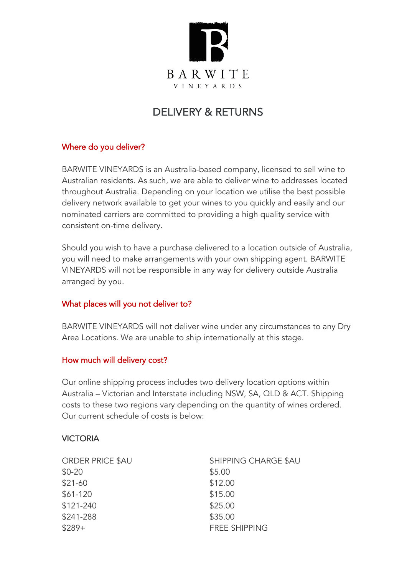

# DELIVERY & RETURNS

## Where do you deliver?

BARWITE VINEYARDS is an Australia-based company, licensed to sell wine to Australian residents. As such, we are able to deliver wine to addresses located throughout Australia. Depending on your location we utilise the best possible delivery network available to get your wines to you quickly and easily and our nominated carriers are committed to providing a high quality service with consistent on-time delivery.

Should you wish to have a purchase delivered to a location outside of Australia, you will need to make arrangements with your own shipping agent. BARWITE VINEYARDS will not be responsible in any way for delivery outside Australia arranged by you.

#### What places will you not deliver to?

BARWITE VINEYARDS will not deliver wine under any circumstances to any Dry Area Locations. We are unable to ship internationally at this stage.

# How much will delivery cost?

Our online shipping process includes two delivery location options within Australia – Victorian and Interstate including NSW, SA, QLD & ACT. Shipping costs to these two regions vary depending on the quantity of wines ordered. Our current schedule of costs is below:

#### VICTORIA

| <b>ORDER PRICE \$AU</b> | SHIPPING CHARGE \$AU |  |
|-------------------------|----------------------|--|
| $$0-20$                 | \$5.00               |  |
| $$21-60$                | \$12.00              |  |
| $$61-120$               | \$15.00              |  |
| \$121-240               | \$25.00              |  |
| \$241-288               | \$35.00              |  |
| $$289+$                 | <b>FREE SHIPPING</b> |  |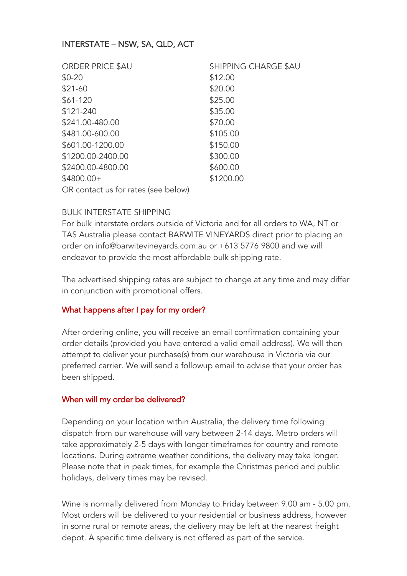## INTERSTATE – NSW, SA, QLD, ACT

| <b>ORDER PRICE \$AU</b>             | SHIPPING CHARGE \$AU |  |
|-------------------------------------|----------------------|--|
| $$0-20$                             | \$12.00              |  |
| $$21-60$                            | \$20.00              |  |
| $$61-120$                           | \$25.00              |  |
| \$121-240                           | \$35.00              |  |
| \$241.00-480.00                     | \$70.00              |  |
| \$481.00-600.00                     | \$105.00             |  |
| \$601.00-1200.00                    | \$150.00             |  |
| \$1200.00-2400.00                   | \$300.00             |  |
| \$2400.00-4800.00                   | \$600.00             |  |
| \$4800.00+                          | \$1200.00            |  |
| OR contact us for rates (see below) |                      |  |

#### BULK INTERSTATE SHIPPING

For bulk interstate orders outside of Victoria and for all orders to WA, NT or TAS Australia please contact BARWITE VINEYARDS direct prior to placing an order on info@barwitevineyards.com.au or +613 5776 9800 and we will endeavor to provide the most affordable bulk shipping rate.

The advertised shipping rates are subject to change at any time and may differ in conjunction with promotional offers.

#### What happens after I pay for my order?

After ordering online, you will receive an email confirmation containing your order details (provided you have entered a valid email address). We will then attempt to deliver your purchase(s) from our warehouse in Victoria via our preferred carrier. We will send a followup email to advise that your order has been shipped.

#### When will my order be delivered?

Depending on your location within Australia, the delivery time following dispatch from our warehouse will vary between 2-14 days. Metro orders will take approximately 2-5 days with longer timeframes for country and remote locations. During extreme weather conditions, the delivery may take longer. Please note that in peak times, for example the Christmas period and public holidays, delivery times may be revised.

Wine is normally delivered from Monday to Friday between 9.00 am - 5.00 pm. Most orders will be delivered to your residential or business address, however in some rural or remote areas, the delivery may be left at the nearest freight depot. A specific time delivery is not offered as part of the service.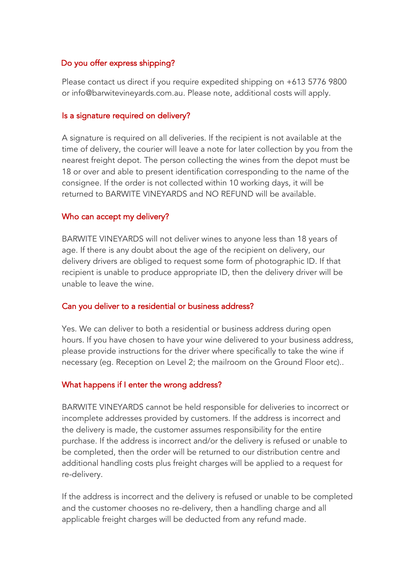## Do you offer express shipping?

Please contact us direct if you require expedited shipping on +613 5776 9800 or info@barwitevineyards.com.au. Please note, additional costs will apply.

#### Is a signature required on delivery?

A signature is required on all deliveries. If the recipient is not available at the time of delivery, the courier will leave a note for later collection by you from the nearest freight depot. The person collecting the wines from the depot must be 18 or over and able to present identification corresponding to the name of the consignee. If the order is not collected within 10 working days, it will be returned to BARWITE VINEYARDS and NO REFUND will be available.

#### Who can accept my delivery?

BARWITE VINEYARDS will not deliver wines to anyone less than 18 years of age. If there is any doubt about the age of the recipient on delivery, our delivery drivers are obliged to request some form of photographic ID. If that recipient is unable to produce appropriate ID, then the delivery driver will be unable to leave the wine.

#### Can you deliver to a residential or business address?

Yes. We can deliver to both a residential or business address during open hours. If you have chosen to have your wine delivered to your business address, please provide instructions for the driver where specifically to take the wine if necessary (eg. Reception on Level 2; the mailroom on the Ground Floor etc)..

#### What happens if I enter the wrong address?

BARWITE VINEYARDS cannot be held responsible for deliveries to incorrect or incomplete addresses provided by customers. If the address is incorrect and the delivery is made, the customer assumes responsibility for the entire purchase. If the address is incorrect and/or the delivery is refused or unable to be completed, then the order will be returned to our distribution centre and additional handling costs plus freight charges will be applied to a request for re-delivery.

If the address is incorrect and the delivery is refused or unable to be completed and the customer chooses no re-delivery, then a handling charge and all applicable freight charges will be deducted from any refund made.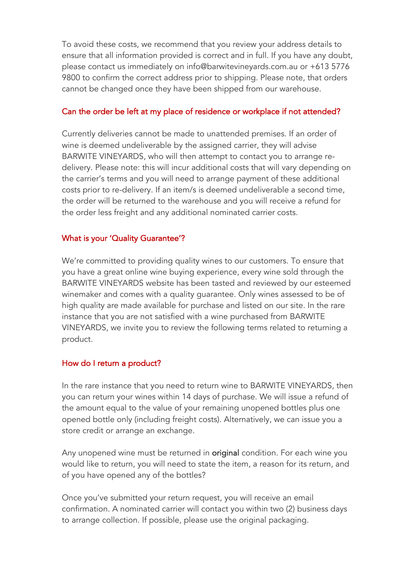To avoid these costs, we recommend that you review your address details to ensure that all information provided is correct and in full. If you have any doubt, please contact us immediately on info@barwitevineyards.com.au or +613 5776 9800 to confirm the correct address prior to shipping. Please note, that orders cannot be changed once they have been shipped from our warehouse.

## Can the order be left at my place of residence or workplace if not attended?

Currently deliveries cannot be made to unattended premises. If an order of wine is deemed undeliverable by the assigned carrier, they will advise BARWITE VINEYARDS, who will then attempt to contact you to arrange redelivery. Please note: this will incur additional costs that will vary depending on the carrier's terms and you will need to arrange payment of these additional costs prior to re-delivery. If an item/s is deemed undeliverable a second time, the order will be returned to the warehouse and you will receive a refund for the order less freight and any additional nominated carrier costs.

## What is your 'Quality Guarantee'?

We're committed to providing quality wines to our customers. To ensure that you have a great online wine buying experience, every wine sold through the BARWITE VINEYARDS website has been tasted and reviewed by our esteemed winemaker and comes with a quality guarantee. Only wines assessed to be of high quality are made available for purchase and listed on our site. In the rare instance that you are not satisfied with a wine purchased from BARWITE VINEYARDS, we invite you to review the following terms related to returning a product.

# How do I return a product?

In the rare instance that you need to return wine to BARWITE VINEYARDS, then you can return your wines within 14 days of purchase. We will issue a refund of the amount equal to the value of your remaining unopened bottles plus one opened bottle only (including freight costs). Alternatively, we can issue you a store credit or arrange an exchange.

Any unopened wine must be returned in original condition. For each wine you would like to return, you will need to state the item, a reason for its return, and of you have opened any of the bottles?

Once you've submitted your return request, you will receive an email confirmation. A nominated carrier will contact you within two (2) business days to arrange collection. If possible, please use the original packaging.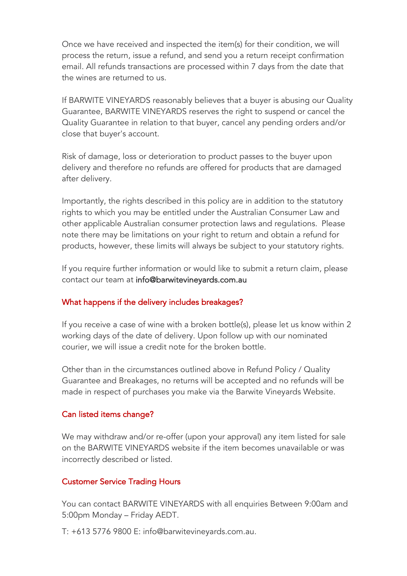Once we have received and inspected the item(s) for their condition, we will process the return, issue a refund, and send you a return receipt confirmation email. All refunds transactions are processed within 7 days from the date that the wines are returned to us.

If BARWITE VINEYARDS reasonably believes that a buyer is abusing our Quality Guarantee, BARWITE VINEYARDS reserves the right to suspend or cancel the Quality Guarantee in relation to that buyer, cancel any pending orders and/or close that buyer's account.

Risk of damage, loss or deterioration to product passes to the buyer upon delivery and therefore no refunds are offered for products that are damaged after delivery.

Importantly, the rights described in this policy are in addition to the statutory rights to which you may be entitled under the Australian Consumer Law and other applicable Australian consumer protection laws and regulations. Please note there may be limitations on your right to return and obtain a refund for products, however, these limits will always be subject to your statutory rights.

If you require further information or would like to submit a return claim, please contact our team at info@barwitevineyards.com.au

# What happens if the delivery includes breakages?

If you receive a case of wine with a broken bottle(s), please let us know within 2 working days of the date of delivery. Upon follow up with our nominated courier, we will issue a credit note for the broken bottle.

Other than in the circumstances outlined above in Refund Policy / Quality Guarantee and Breakages, no returns will be accepted and no refunds will be made in respect of purchases you make via the Barwite Vineyards Website.

# Can listed items change?

We may withdraw and/or re-offer (upon your approval) any item listed for sale on the BARWITE VINEYARDS website if the item becomes unavailable or was incorrectly described or listed.

# Customer Service Trading Hours

You can contact BARWITE VINEYARDS with all enquiries Between 9:00am and 5:00pm Monday – Friday AEDT.

T: +613 5776 9800 E: info@barwitevineyards.com.au.